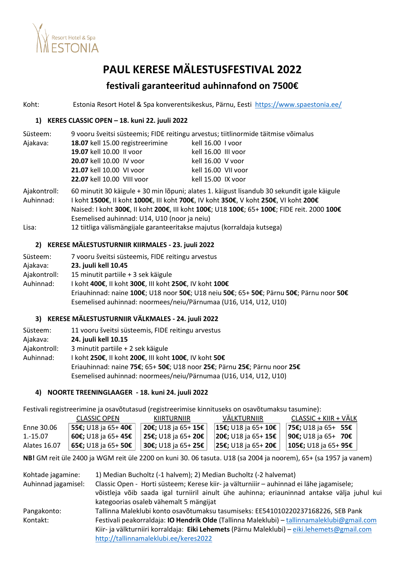

# **PAUL KERESE MÄLESTUSFESTIVAL 2022**

## **festivali garanteeritud auhinnafond on 7500€**

Koht: Estonia Resort Hotel & Spa konverentsikeskus, Pärnu, Eesti <https://www.spaestonia.ee/>

### **1) KERES CLASSIC OPEN – 18. kuni 22. juuli 2022**

| Süsteem: |                                  | 9 vooru šveitsi süsteemis; FIDE reitingu arvestus; tiitlinormide täitmise võimalus |
|----------|----------------------------------|------------------------------------------------------------------------------------|
| Ajakava: | 18.07 kell 15.00 registreerimine | kell 16.00 I voor                                                                  |
|          | 19.07 kell 10.00 II voor         | kell 16.00 III voor                                                                |
|          | 20.07 kell 10.00 IV voor         | kell 16.00 V voor                                                                  |
|          | 21.07 kell 10.00 VI voor         | kell 16.00 VII voor                                                                |
|          | 22.07 kell 10.00 VIII voor       | kell 15.00 IX voor                                                                 |
|          |                                  |                                                                                    |

Ajakontroll: 60 minutit 30 käigule + 30 min lõpuni; alates 1. käigust lisandub 30 sekundit igale käigule Auhinnad: I koht **1500€**, II koht **1000€**, III koht **700€**, IV koht **350€**, V koht **250€**, VI koht **200€** Naised: I koht **300€**, II koht **200€**, III koht **100€**; U18 **100€**; 65+ **100€**; FIDE reit. 2000 **100€** Esemelised auhinnad: U14, U10 (noor ja neiu) Lisa: 12 tiitliga välismängijale garanteeritakse majutus (korraldaja kutsega)

### **2) KERESE MÄLESTUSTURNIIR KIIRMALES - 23. juuli 2022**

| Süsteem:     | 7 vooru šveitsi süsteemis, FIDE reitingu arvestus                                                                                                           |
|--------------|-------------------------------------------------------------------------------------------------------------------------------------------------------------|
| Ajakava:     | 23. juuli kell 10.45                                                                                                                                        |
| Ajakontroll: | 15 minutit partiile + 3 sek käigule                                                                                                                         |
| Auhinnad:    | I koht 400€, II koht 300€, III koht 250€, IV koht 100€                                                                                                      |
|              | Eriauhinnad: naine 100€; U18 noor 50€; U18 neiu 50€; 65+ 50€; Pärnu 50€; Pärnu noor 50€<br>Esemelised auhinnad: noormees/neiu/Pärnumaa (U16, U14, U12, U10) |

### **3) KERESE MÄLESTUSTURNIIR VÄLKMALES - 24. juuli 2022**

| Süsteem:     | 11 vooru šveitsi süsteemis, FIDE reitingu arvestus                       |  |
|--------------|--------------------------------------------------------------------------|--|
| Ajakava:     | 24. juuli kell 10.15                                                     |  |
| Ajakontroll: | 3 minutit partiile + 2 sek käigule                                       |  |
| Auhinnad:    | I koht 250€, II koht 200€, III koht 100€, IV koht 50€                    |  |
|              | Eriauhinnad: naine 75€; 65+ 50€; U18 noor 25€; Pärnu 25€; Pärnu noor 25€ |  |
|              | Esemelised auhinnad: noormees/neiu/Pärnumaa (U16, U14, U12, U10)         |  |

### **4) NOORTE TREENINGLAAGER - 18. kuni 24. juuli 2022**

Festivali registreerimine ja osavõtutasud (registreerimise kinnituseks on osavõtumaksu tasumine):

|              | <b>CLASSIC OPEN</b>        | KIIRTURNIIR                | VALKTURNIIR                       | CLASSIC + KIIR + VALK                |
|--------------|----------------------------|----------------------------|-----------------------------------|--------------------------------------|
| Enne 30.06   | <b>55€; U18 ia 65+ 40€</b> | 20€; U18 ja 65+ 15€        | <b>15€;</b> U18 ja 65+ <b>10€</b> | <b>75€;</b> U18 ja 65+ <b>55€</b>    |
| 1.-15.07     | 60€; U18 ja 65+ 45€        | 25€; U18 ja 65+ 20€        | 20€; U18 ja 65+ 15€               | <b>90€;</b> U18 ja 65+ <b>70€</b>    |
| Alates 16.07 | <b>65€:</b> U18 ia 65+ 50€ | <b>30€;</b> U18 ja 65+ 25€ | 25€; U18 ja 65+ 20€               | ± <b>105€;</b> U18 ja 65+ <b>95€</b> |

**NB!** GM reit üle 2400 ja WGM reit üle 2200 on kuni 30. 06 tasuta. U18 (sa 2004 ja noorem), 65+ (sa 1957 ja vanem)

| Kohtade jagamine:   | 1) Median Bucholtz (-1 halvem); 2) Median Bucholtz (-2 halvemat)                                                                                                                        |  |  |
|---------------------|-----------------------------------------------------------------------------------------------------------------------------------------------------------------------------------------|--|--|
| Auhinnad jagamisel: | Classic Open - Horti süsteem; Kerese kiir- ja välturniiir - auhinnad ei lähe jagamisele;<br>võistleja võib saada igal turniiril ainult ühe auhinna; eriauninnad antakse välja juhul kui |  |  |
|                     | kategoorias osaleb vähemalt 5 mängijat                                                                                                                                                  |  |  |
| Pangakonto:         | Tallinna Maleklubi konto osavõtumaksu tasumiseks: EE541010220237168226, SEB Pank                                                                                                        |  |  |
| Kontakt:            | Festivali peakorraldaja: IO Hendrik Olde (Tallinna Maleklubi) - tallinnamaleklubi@gmail.com                                                                                             |  |  |
|                     | Kiir- ja välkturniiri korraldaja: Eiki Lehemets (Pärnu Maleklubi) - eiki.lehemets@gmail.com                                                                                             |  |  |
|                     | http://tallinnamaleklubi.ee/keres2022                                                                                                                                                   |  |  |